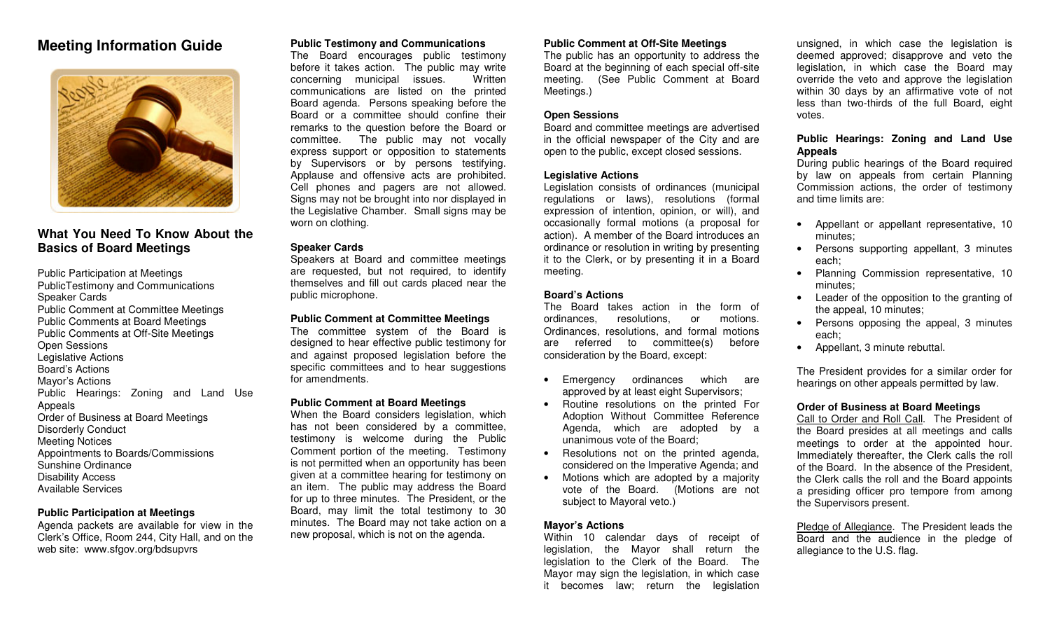# **Meeting Information Guide**



## **What You Need To Know About theBasics of Board Meetings**

Public Participation at Meetings PublicTestimony and CommunicationsSpeaker Cards Public Comment at Committee MeetingsPublic Comments at Board Meetings Public Comments at Off-Site MeetingsOpen Sessions Legislative ActionsBoard's Actions Mayor's Actions Public Hearings: Zoning and Land Use**Appeals**  Order of Business at Board MeetingsDisorderly ConductMeeting Notices Appointments to Boards/CommissionsSunshine OrdinanceDisability AccessAvailable Services

## **Public Participation at Meetings**

 Agenda packets are available for view in the Clerk's Office, Room 244, City Hall, and on theweb site: www.sfgov.org/bdsupvrs

## **Public Testimony and Communications**

 The Board encourages public testimony before it takes action. The public may writeWritten concerning municipal issues. communications are listed on the printed Board agenda. Persons speaking before the Board or a committee should confine their remarks to the question before the Board or committee. The public may not vocally express support or opposition to statements by Supervisors or by persons testifying. Applause and offensive acts are prohibited. Cell phones and pagers are not allowed. Signs may not be brought into nor displayed in the Legislative Chamber. Small signs may beworn on clothing.

### **Speaker Cards**

 Speakers at Board and committee meetings are requested, but not required, to identify themselves and fill out cards placed near thepublic microphone.

#### **Public Comment at Committee Meetings**

 The committee system of the Board is designed to hear effective public testimony for and against proposed legislation before the specific committees and to hear suggestionsfor amendments.

## **Public Comment at Board Meetings**

 When the Board considers legislation, which has not been considered by a committee, testimony is welcome during the Public Comment portion of the meeting. Testimony is not permitted when an opportunity has been given at a committee hearing for testimony on an item. The public may address the Board for up to three minutes. The President, or the Board, may limit the total testimony to 30 minutes. The Board may not take action on anew proposal, which is not on the agenda.

## **Public Comment at Off-Site Meetings**

 The public has an opportunity to address the Board at the beginning of each special off-site meeting. (See Public Comment at BoardMeetings.)

## **Open Sessions**

 Board and committee meetings are advertised in the official newspaper of the City and areopen to the public, except closed sessions.

## **Legislative Actions**

 Legislation consists of ordinances (municipal regulations or laws), resolutions (formal expression of intention, opinion, or will), and occasionally formal motions (a proposal for action). A member of the Board introduces an ordinance or resolution in writing by presenting it to the Clerk, or by presenting it in a Boardmeeting.

## **Board's Actions**

 The Board takes action in the form ofmotions. ordinances, resolutions, or Ordinances, resolutions, and formal motionsbefore are referred to committee $(s)$ consideration by the Board, except:

- Emergency ordinances which areapproved by at least eight Supervisors;
- Routine resolutions on the printed For Adoption Without Committee Reference Agenda, which are adopted by aunanimous vote of the Board;
- Resolutions not on the printed agenda,considered on the Imperative Agenda; and
- Motions which are adopted by a majority vote of the Board. (Motions are notsubject to Mayoral veto.)

## **Mayor's Actions**

 Within 10 calendar days of receipt of legislation, the Mayor shall return the legislation to the Clerk of the Board. The Mayor may sign the legislation, in which caseit becomes law; return the legislation

unsigned, in which case the legislation is deemed approved; disapprove and veto the legislation, in which case the Board may override the veto and approve the legislation within 30 days by an affirmative vote of not less than two-thirds of the full Board, eightvotes.

## **Public Hearings: Zoning and Land UseAppeals**

 During public hearings of the Board required by law on appeals from certain Planning Commission actions, the order of testimonyand time limits are:

- Appellant or appellant representative, 10minutes;
- Persons supporting appellant, 3 minuteseach;
- Planning Commission representative, 10minutes;
- Leader of the opposition to the granting ofthe appeal, 10 minutes;
- Persons opposing the appeal, 3 minuteseach;
- Appellant, 3 minute rebuttal.

The President provides for a similar order forhearings on other appeals permitted by law.

## **Order of Business at Board Meetings**

 Call to Order and Roll Call. The President of the Board presides at all meetings and calls meetings to order at the appointed hour. Immediately thereafter, the Clerk calls the roll of the Board. In the absence of the President, the Clerk calls the roll and the Board appoints a presiding officer pro tempore from amongthe Supervisors present.

Pledge of Allegiance. The President leads the Board and the audience in the pledge ofallegiance to the U.S. flag.